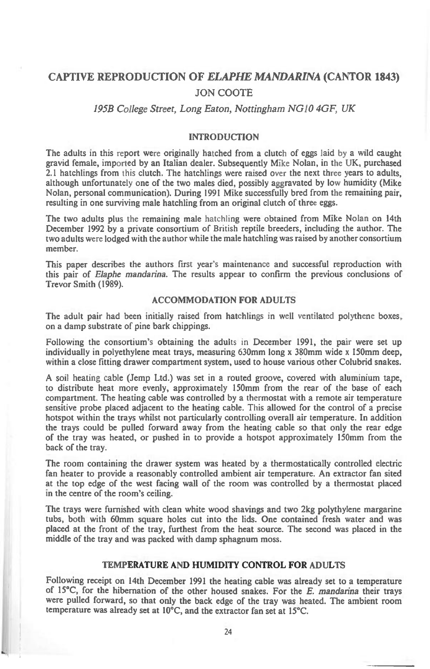# **CAPTIVE REPRODUCTION OF** *ELAPHE MANDARINA* **(CANTOR 1843)**  JON COOTE

# *195B College Street, Long Eaton, Nottingham NGIO 4GF, UK*

#### INTRODUCTION

The adults in this report were originally hatched from a clutch of eggs laid by a wild caught gravid female, imported by an Italian dealer. Subsequently Mike Nolan, in the UK, purchased 2.1 hatchlings from this clutch. The hatchlings were raised over the next three years to adults, although unfortunately one of the two males died, possibly aggravated by low humidity (Mike Nolan, personal communication). During 1991 Mike successfully bred from the remaining pair, resulting in one surviving male hatchling from an original clutch of three eggs.

The two adults plus the remaining male hatchling were obtained from Mike Nolan on 14th December 1992 by a private consortium of British reptile breeders, including the author. The two adults were lodged with the author while the male hatchling was raised by another consortium member.

This paper describes the authors first year's maintenance and successful reproduction with this pair of *Elaphe mandarina.* The results appear to confirm the previous conclusions of Trevor Smith (1989).

# ACCOMMODATION FOR ADULTS

The adult pair had been initially raised from hatchlings in well ventilated polythene boxes, on a damp substrate of pine bark chippings.

Following the consortium's obtaining the adults in December 1991, the pair were set up individually in polyethylene meat trays, measuring 630mm long x 380mm wide x 150mm deep, within a close fitting drawer compartment system, used to house various other Colubrid snakes.

A soil heating cable (Jemp Ltd.) was set in a routed groove, covered with aluminium tape, to distribute heat more evenly, approximately 150mm from the rear of the base of each compartment. The heating cable was controlled by a thermostat with a remote air temperature sensitive probe placed adjacent to the heating cable. This allowed for the control of a precise hotspot within the trays whilst not particularly controlling overall air temperature. In addition the trays could be pulled forward away from the heating cable so that only the rear edge of the tray was heated, or pushed in to provide a hotspot approximately 150mm from the back of the tray.

The room containing the drawer system was heated by a thermostatically controlled electric fan heater to provide a reasonably controlled ambient air temperature. An extractor fan sited at the top edge of the west facing wall of the room was controlled by a thermostat placed in the centre of the room's ceiling.

The trays were furnished with clean white wood shavings and two 2kg polythylene margarine tubs, both with 60mm square holes cut into the lids. One contained fresh water and was placed at the front of the tray, furthest from the heat source. The second was placed in the middle of the tray and was packed with damp sphagnum moss.

# TEMPERATURE AND HUMIDITY CONTROL FOR ADULTS

Following receipt on 14th December 1991 the heating cable was already set to a temperature of 15°C, for the hibernation of the other housed snakes. For the *E. mandarina* their trays were pulled forward, so that only the back edge of the tray was heated. The ambient room temperature was already set at 10°C, and the extractor fan set at 15°C.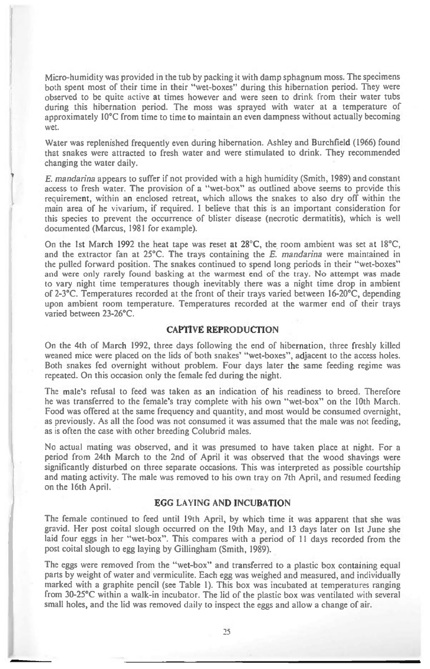Micro-humidity was provided in the tub by packing it with damp sphagnum moss. The specimens both spent most of their time in their "wet-boxes" during this hibernation period. They were observed to be quite active at times however and were seen to drink from their water tubs during this hibernation period. The moss was sprayed with water at a temperature of approximately 10°C from time to time to maintain an even dampness without actually becoming wet.

Water was replenished frequently even during hibernation. Ashley and Burchfield (1966) found that snakes were attracted to fresh water and were stimulated to drink. They recommended changing the water daily.

*E. mandarina* appears to suffer if not provided with a high humidity (Smith, 1989) and constant access to fresh water. The provision of a "wet-box" as outlined above seems to provide this requirement, within an enclosed retreat, which allows the snakes to also dry off within the main area of he vivarium, if required. I believe that this is an important consideration for this species to prevent the occurrence of blister disease (necrotic dermatitis), which is well documented (Marcus, 1981 for example).

On the 1st March 1992 the heat tape was reset at 28°C, the room ambient was set at 18°C, and the extractor fan at 25°C. The trays containing the *E. mandarina* were maintained in the pulled forward position. The snakes continued to spend long periods in their "wet-boxes" and were only rarely found basking at the warmest end of the tray. No attempt was made to vary night time temperatures though inevitably there was a night time drop in ambient of 2-3°C. Temperatures recorded at the front of their trays varied between 16-20°C, depending upon ambient room temperature. Temperatures recorded at the warmer end of their trays varied between 23-26°C.

# CAPTIVE REPRODUCTION

On the 4th of March 1992, three days following the end of hibernation, three freshly killed weaned mice were placed on the lids of both snakes' "wet-boxes", adjacent to the access holes. Both snakes fed overnight without problem. Four days later the same feeding regime was repeated. On this occasion only the female fed during the night.

The male's refusal to feed was taken as an indication of his readiness to breed. Therefore he was transferred to the female's tray complete with his own "wet-box" on the 10th March. Food was offered at the same frequency and quantity, and most would be consumed overnight, as previously. As all the food was not consumed it was assumed that the male was not feeding, as is often the case with other breeding Colubrid males.

No actual mating was observed, and it was presumed to have taken place at night. For a period from 24th March to the 2nd of April it was observed that the wood shavings were significantly disturbed on three separate occasions. This was interpreted as possible courtship and mating activity. The male was removed to his own tray on 7th April, and resumed feeding on the 16th April.

# EGG LAYING AND INCUBATION

The female continued to feed until 19th April, by which time it was apparent that she was gravid. Her post coital slough occurred on the 19th May, and 13 days later on 1st June she laid four eggs in her "wet-box". This compares with a period of 11 days recorded from the post coital slough to egg laying by Gillingham (Smith, 1989).

The eggs were removed from the "wet-box" and transferred to a plastic box containing equal parts by weight of water and vermiculite. Each egg was weighed and measured, and individually marked with a graphite pencil (see Table 1). This box was incubated at temperatures ranging from 30-25°C within a walk-in incubator. The lid of the plastic box was ventilated *with* several small holes, and the lid was removed daily to inspect the eggs and allow a change of air.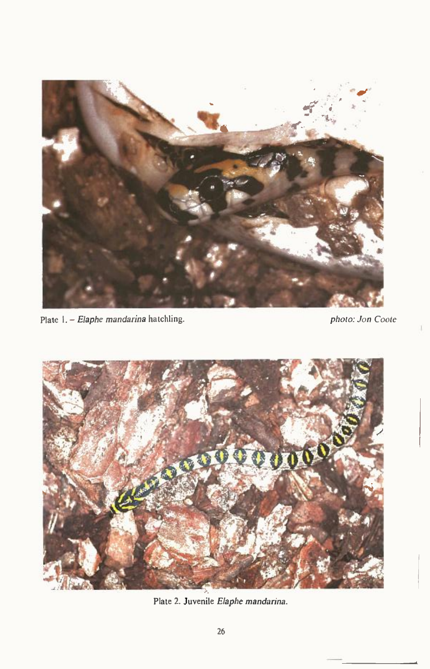

*Plate* I. - *Elaphe mandarina* hatchling. *photo: Jon Coote* 



Plate 2. Juvenile *Elaphe mandarina.*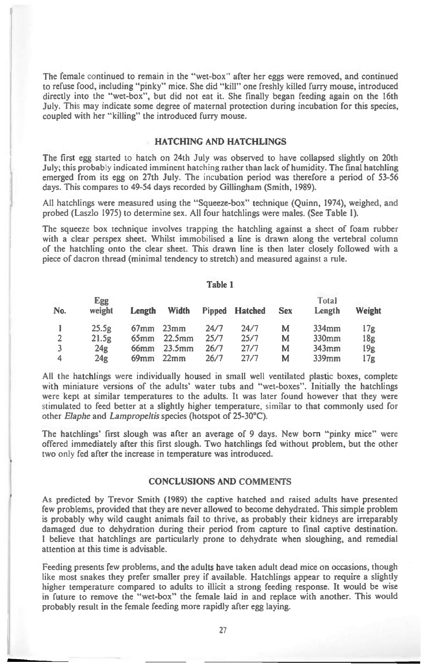The female continued to remain in the "wet-box" after her eggs were removed, and continued to refuse food, including "pinky" mice. She did "kill" one freshly killed furry mouse, introduced directly into the "wet-box", but did not eat it. She finally began feeding again on the 16th July. This may indicate some degree of maternal protection during incubation for this species, coupled with her "killing" the introduced furry mouse.

### HATCHING AND HATCHLINGS

The first egg started to hatch on 24th July was observed to have collapsed slightly on 20th July; this probably indicated imminent hatching rather than lack of humidity. The final hatchling emerged from its egg on 27th July. The incubation period was therefore a period of 53-56 days. This compares to 49-54 days recorded by Gillingham (Smith, 1989).

All hatchlings were measured using the "Squeeze-box" technique (Quinn, 1974), weighed, and probed (Laszlo 1975) to determine sex. All four hatchlings were males. (See Table 1).

The squeeze box technique involves trapping the hatchling against a sheet of foam rubber with a clear perspex sheet. Whilst immobilised a line is drawn along the vertebral column of the hatchling onto the clear sheet. This drawn line is then later closely followed with a piece of dacron thread (minimal tendency to stretch) and measured *against a* rule.

# Table 1

| No. | Egg<br>weight   | Length  | Width     |      | Pipped Hatched | <b>Sex</b> | Total<br>Length   | Weight |
|-----|-----------------|---------|-----------|------|----------------|------------|-------------------|--------|
|     | 25.5g           | $67$ mm | $23$ mm   | 24/7 | 24/7           | M          | 334 <sub>mm</sub> | 17g    |
|     | 21.5g           | $65$ mm | $22.5$ mm | 25/7 | 25/7           | м          | 330 <sub>mm</sub> | 18g    |
|     | 24 <sub>g</sub> | $66$ mm | $23.5$ mm | 26/7 | 27/7           | М          | $343$ mm          | 19g    |
| 4   | 24g             | $69$ mm | 22mm      | 26/7 | 27/7           | M          | $339$ mm          | 17g    |

All the hatchlings were individually housed in small well ventilated plastic boxes, complete with miniature versions of the adults' water tubs and "wet-boxes". Initially the hatchlings were kept at similar temperatures to the adults. It was later found however that they were stimulated to feed better at a slightly higher temperature, similar to that commonly used for other *Elaphe* and *Lampropeltis* species (hotspot of 25-30°C).

The hatchlings' first slough was after an average of 9 days. New born "pinky mice" were offered immediately after this first slough. Two hatchlings fed without problem, but the other two only fed after the increase in temperature was introduced.

#### CONCLUSIONS AND COMMENTS

As predicted by Trevor Smith (1989) the captive hatched and raised adults have presented few problems, provided that they are never allowed to become dehydrated. This simple problem is probably why wild caught animals fail to thrive, as probably their kidneys are irreparably damaged due to dehydration during their period from capture to final captive destination. I believe that hatchlings are particularly prone to dehydrate when sloughing, and remedial attention at this time is advisable.

Feeding presents few problems, and the adults have taken adult dead mice on occasions, though like most snakes they prefer smaller prey if available. Hatchlings appear to require a slightly higher temperature compared to adults to illicit a strong feeding response. It would be wise in future to remove the "wet-box" the female laid in and replace with another. This would probably result in the female feeding more rapidly after egg laying.

I